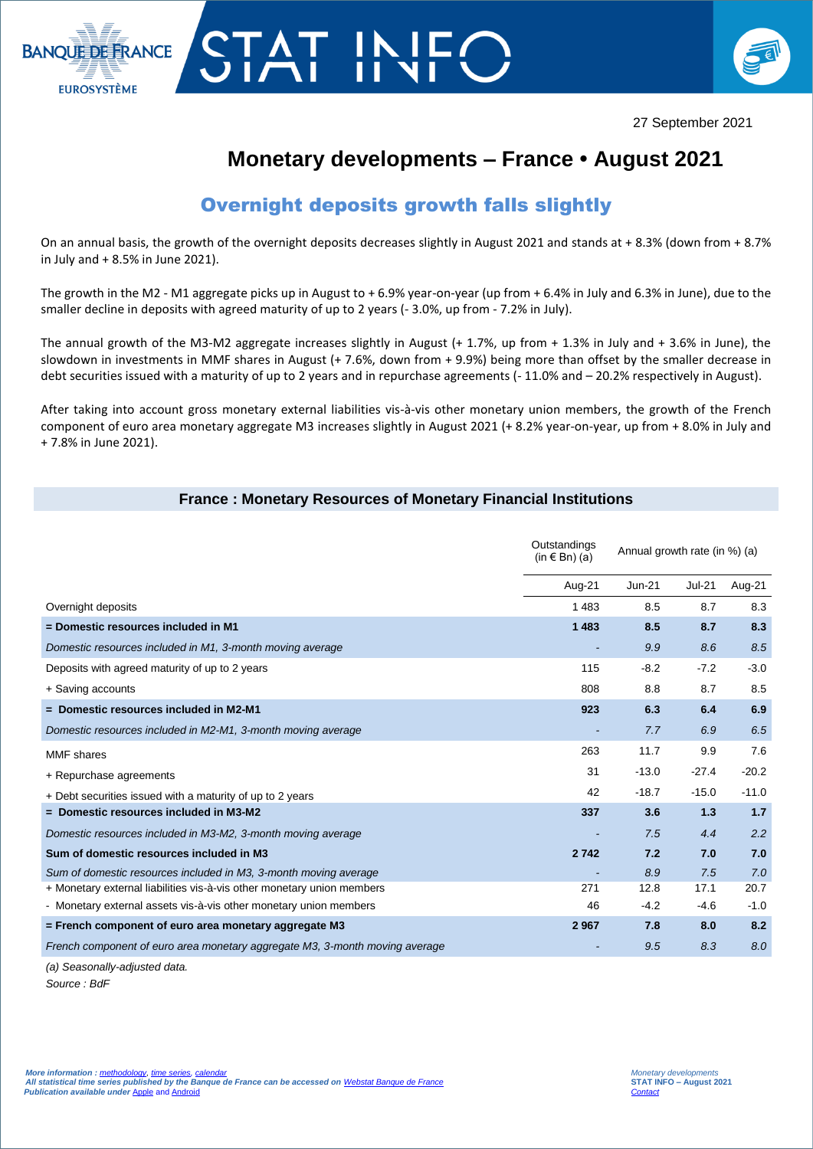



## **Monetary developments – France • August 2021**

## Overnight deposits growth falls slightly

On an annual basis, the growth of the overnight deposits decreases slightly in August 2021 and stands at + 8.3% (down from + 8.7% in July and + 8.5% in June 2021).

The growth in the M2 - M1 aggregate picks up in August to + 6.9% year-on-year (up from + 6.4% in July and 6.3% in June), due to the smaller decline in deposits with agreed maturity of up to 2 years (- 3.0%, up from - 7.2% in July).

The annual growth of the M3-M2 aggregate increases slightly in August (+ 1.7%, up from + 1.3% in July and + 3.6% in June), the slowdown in investments in MMF shares in August (+ 7.6%, down from + 9.9%) being more than offset by the smaller decrease in debt securities issued with a maturity of up to 2 years and in repurchase agreements (-11.0% and -20.2% respectively in August).

After taking into account gross monetary external liabilities vis-à-vis other monetary union members, the growth of the French component of euro area monetary aggregate M3 increases slightly in August 2021 (+ 8.2% year-on-year, up from + 8.0% in July and + 7.8% in June 2021).

## **France : Monetary Resources of Monetary Financial Institutions**

|                                                                             | Outstandings<br>(in $\in$ Bn) (a) | Annual growth rate (in %) (a) |               |         |
|-----------------------------------------------------------------------------|-----------------------------------|-------------------------------|---------------|---------|
|                                                                             | Aug-21                            | $Jun-21$                      | <b>Jul-21</b> | Aug-21  |
| Overnight deposits                                                          | 1483                              | 8.5                           | 8.7           | 8.3     |
| = Domestic resources included in M1                                         | 1483                              | 8.5                           | 8.7           | 8.3     |
| Domestic resources included in M1, 3-month moving average                   |                                   | 9.9                           | 8.6           | 8.5     |
| Deposits with agreed maturity of up to 2 years                              | 115                               | $-8.2$                        | $-7.2$        | $-3.0$  |
| + Saving accounts                                                           | 808                               | 8.8                           | 8.7           | 8.5     |
| $=$ Domestic resources included in M2-M1                                    | 923                               | 6.3                           | 6.4           | 6.9     |
| Domestic resources included in M2-M1, 3-month moving average                |                                   | 7.7                           | 6.9           | 6.5     |
| <b>MMF</b> shares                                                           | 263                               | 11.7                          | 9.9           | 7.6     |
| + Repurchase agreements                                                     | 31                                | $-13.0$                       | $-27.4$       | $-20.2$ |
| + Debt securities issued with a maturity of up to 2 years                   | 42                                | $-18.7$                       | $-15.0$       | $-11.0$ |
| $=$ Domestic resources included in M3-M2                                    | 337                               | 3.6                           | 1.3           | 1.7     |
| Domestic resources included in M3-M2, 3-month moving average                |                                   | 7.5                           | 4.4           | 2.2     |
| Sum of domestic resources included in M3                                    | 2742                              | 7.2                           | 7.0           | 7.0     |
| Sum of domestic resources included in M3, 3-month moving average            |                                   | 8.9                           | 7.5           | 7.0     |
| + Monetary external liabilities vis-à-vis other monetary union members      | 271                               | 12.8                          | 17.1          | 20.7    |
| - Monetary external assets vis-à-vis other monetary union members           | 46                                | $-4.2$                        | $-4.6$        | $-1.0$  |
| = French component of euro area monetary aggregate M3                       | 2967                              | 7.8                           | 8.0           | 8.2     |
| French component of euro area monetary aggregate M3, 3-month moving average |                                   | 9.5                           | 8.3           | 8.0     |
|                                                                             |                                   |                               |               |         |

*(a) Seasonally-adjusted data.*

*Source : BdF*

I